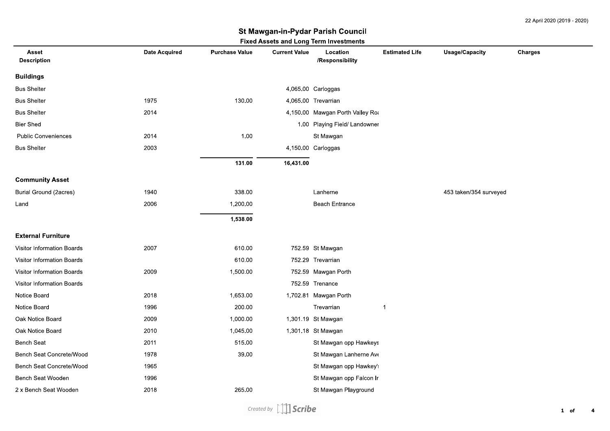|                                                                                    |                      |                       |                            |                                  |                       |                        |         | 22 April 2020 (2019 - 2020) |  |
|------------------------------------------------------------------------------------|----------------------|-----------------------|----------------------------|----------------------------------|-----------------------|------------------------|---------|-----------------------------|--|
| St Mawgan-in-Pydar Parish Council<br><b>Fixed Assets and Long Term Investments</b> |                      |                       |                            |                                  |                       |                        |         |                             |  |
| Asset<br><b>Description</b>                                                        | <b>Date Acquired</b> | <b>Purchase Value</b> | <b>Current Value</b>       | Location<br>/Responsibility      | <b>Estimated Life</b> | <b>Usage/Capacity</b>  | Charges |                             |  |
| <b>Buildings</b>                                                                   |                      |                       |                            |                                  |                       |                        |         |                             |  |
| <b>Bus Shelter</b>                                                                 |                      |                       |                            | 4,065.00 Carloggas               |                       |                        |         |                             |  |
| <b>Bus Shelter</b>                                                                 | 1975                 | 130.00                |                            | 4,065.00 Trevarrian              |                       |                        |         |                             |  |
| <b>Bus Shelter</b>                                                                 | 2014                 |                       |                            | 4,150.00 Mawgan Porth Valley Roa |                       |                        |         |                             |  |
| <b>Bier Shed</b>                                                                   |                      |                       |                            | 1.00 Playing Field/ Landowner    |                       |                        |         |                             |  |
| <b>Public Conveniences</b>                                                         | 2014                 | 1.00                  |                            | St Mawgan                        |                       |                        |         |                             |  |
| <b>Bus Shelter</b>                                                                 | 2003                 |                       |                            | 4,150.00 Carloggas               |                       |                        |         |                             |  |
|                                                                                    |                      | 131.00                | 16,431.00                  |                                  |                       |                        |         |                             |  |
| <b>Community Asset</b>                                                             |                      |                       |                            |                                  |                       |                        |         |                             |  |
| <b>Burial Ground (2acres)</b>                                                      | 1940                 | 338.00                |                            | Lanherne                         |                       | 453 taken/354 surveyed |         |                             |  |
| Land                                                                               | 2006                 | 1,200.00              |                            | <b>Beach Entrance</b>            |                       |                        |         |                             |  |
|                                                                                    |                      | 1,538.00              |                            |                                  |                       |                        |         |                             |  |
| <b>External Furniture</b>                                                          |                      |                       |                            |                                  |                       |                        |         |                             |  |
| Visitor Information Boards                                                         | 2007                 | 610.00                |                            | 752.59 St Mawgan                 |                       |                        |         |                             |  |
| <b>Visitor Information Boards</b>                                                  |                      | 610.00                |                            | 752.29 Trevarrian                |                       |                        |         |                             |  |
| Visitor Information Boards                                                         | 2009                 | 1,500.00              |                            | 752.59 Mawgan Porth              |                       |                        |         |                             |  |
| Visitor Information Boards                                                         |                      |                       |                            | 752.59 Trenance                  |                       |                        |         |                             |  |
| Notice Board                                                                       | 2018                 | 1,653.00              |                            | 1,702.81 Mawgan Porth            |                       |                        |         |                             |  |
| Notice Board                                                                       | 1996                 | 200.00                |                            | Trevarrian                       | $\blacktriangleleft$  |                        |         |                             |  |
| Oak Notice Board                                                                   | 2009                 | 1,000.00              |                            | 1,301.19 St Mawgan               |                       |                        |         |                             |  |
| Oak Notice Board                                                                   | 2010                 | 1,045.00              |                            | 1,301.18 St Mawgan               |                       |                        |         |                             |  |
| <b>Bench Seat</b>                                                                  | 2011                 | 515.00                |                            | St Mawgan opp Hawkeys            |                       |                        |         |                             |  |
| Bench Seat Concrete/Wood                                                           | 1978                 | 39.00                 |                            | St Mawgan Lanherne Ave           |                       |                        |         |                             |  |
| Bench Seat Concrete/Wood                                                           | 1965                 |                       |                            | St Mawgan opp Hawkey':           |                       |                        |         |                             |  |
| Bench Seat Wooden                                                                  | 1996                 |                       |                            | St Mawgan opp Falcon Ir          |                       |                        |         |                             |  |
| 2 x Bench Seat Wooden                                                              | 2018                 | 265.00                |                            | St Mawgan Playground             |                       |                        |         |                             |  |
|                                                                                    |                      |                       | Created by $\iiint$ Scribe |                                  |                       |                        | $1$ of  | -4                          |  |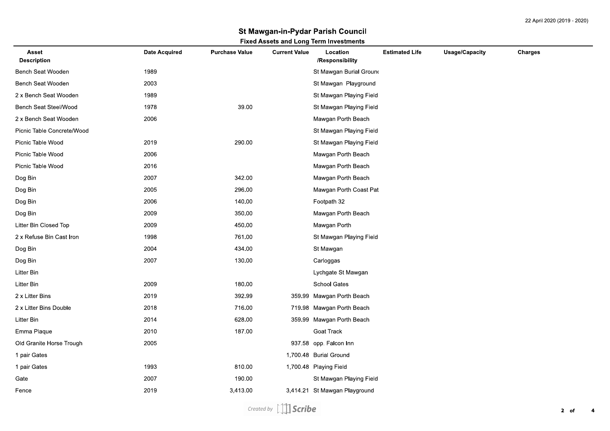| 22 April 2020 (2019 - 2020)<br>St Mawgan-in-Pydar Parish Council<br><b>Fixed Assets and Long Term Investments</b> |      |          |                            |                               |  |  |  |        |  |  |
|-------------------------------------------------------------------------------------------------------------------|------|----------|----------------------------|-------------------------------|--|--|--|--------|--|--|
|                                                                                                                   |      |          |                            |                               |  |  |  |        |  |  |
| Bench Seat Wooden                                                                                                 | 1989 |          |                            | St Mawgan Burial Ground       |  |  |  |        |  |  |
| Bench Seat Wooden                                                                                                 | 2003 |          |                            | St Mawgan Playground          |  |  |  |        |  |  |
| 2 x Bench Seat Wooden                                                                                             | 1989 |          |                            | St Mawgan Playing Field       |  |  |  |        |  |  |
| Bench Seat Steel/Wood                                                                                             | 1978 | 39.00    |                            | St Mawgan Playing Field       |  |  |  |        |  |  |
| 2 x Bench Seat Wooden                                                                                             | 2006 |          |                            | Mawgan Porth Beach            |  |  |  |        |  |  |
| Picnic Table Concrete/Wood                                                                                        |      |          |                            | St Mawgan Playing Field       |  |  |  |        |  |  |
| Picnic Table Wood                                                                                                 | 2019 | 290.00   |                            | St Mawgan Playing Field       |  |  |  |        |  |  |
| Picnic Table Wood                                                                                                 | 2006 |          |                            | Mawgan Porth Beach            |  |  |  |        |  |  |
| Picnic Table Wood                                                                                                 | 2016 |          |                            | Mawgan Porth Beach            |  |  |  |        |  |  |
| Dog Bin                                                                                                           | 2007 | 342.00   |                            | Mawgan Porth Beach            |  |  |  |        |  |  |
| Dog Bin                                                                                                           | 2005 | 296.00   |                            | Mawgan Porth Coast Pat        |  |  |  |        |  |  |
| Dog Bin                                                                                                           | 2006 | 140.00   |                            | Footpath 32                   |  |  |  |        |  |  |
| Dog Bin                                                                                                           | 2009 | 350.00   |                            | Mawgan Porth Beach            |  |  |  |        |  |  |
| Litter Bin Closed Top                                                                                             | 2009 | 450.00   |                            | Mawgan Porth                  |  |  |  |        |  |  |
| 2 x Refuse Bin Cast Iron                                                                                          | 1998 | 761.00   |                            | St Mawgan Playing Field       |  |  |  |        |  |  |
| Dog Bin                                                                                                           | 2004 | 434.00   |                            | St Mawgan                     |  |  |  |        |  |  |
| Dog Bin                                                                                                           | 2007 | 130.00   |                            | Carloggas                     |  |  |  |        |  |  |
| Litter Bin                                                                                                        |      |          |                            | Lychgate St Mawgan            |  |  |  |        |  |  |
| Litter Bin                                                                                                        | 2009 | 180.00   |                            | School Gates                  |  |  |  |        |  |  |
| 2 x Litter Bins                                                                                                   | 2019 | 392.99   |                            | 359.99 Mawgan Porth Beach     |  |  |  |        |  |  |
| 2 x Litter Bins Double                                                                                            | 2018 | 716.00   |                            | 719.98 Mawgan Porth Beach     |  |  |  |        |  |  |
| Litter Bin                                                                                                        | 2014 | 628.00   |                            | 359.99 Mawgan Porth Beach     |  |  |  |        |  |  |
| Emma Plaque                                                                                                       | 2010 | 187.00   |                            | Goat Track                    |  |  |  |        |  |  |
| Old Granite Horse Trough                                                                                          | 2005 |          |                            | 937.58 opp. Falcon Inn        |  |  |  |        |  |  |
| 1 pair Gates                                                                                                      |      |          |                            | 1,700.48 Burial Ground        |  |  |  |        |  |  |
| 1 pair Gates                                                                                                      | 1993 | 810.00   |                            | 1,700.48 Playing Field        |  |  |  |        |  |  |
| Gate                                                                                                              | 2007 | 190.00   |                            | St Mawgan Playing Field       |  |  |  |        |  |  |
| Fence                                                                                                             | 2019 | 3,413.00 |                            | 3,414.21 St Mawgan Playground |  |  |  |        |  |  |
|                                                                                                                   |      |          | Created by $\iiint$ Scribe |                               |  |  |  | $2$ of |  |  |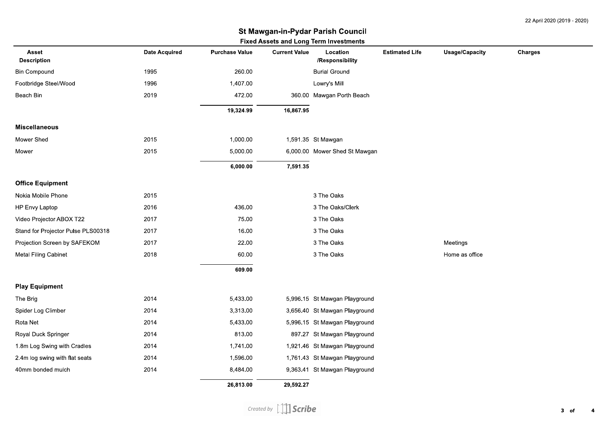## St Mawgan-in-Pydar Parish Council Fixed Assets and Long Term Investments

| Asset                              | <b>Date Acquired</b> | <b>Purchase Value</b> | <b>Current Value</b> | Pixed Assets and Long Term investments<br>Location | <b>Estimated Life</b> | <b>Usage/Capacity</b> | Charges |
|------------------------------------|----------------------|-----------------------|----------------------|----------------------------------------------------|-----------------------|-----------------------|---------|
| <b>Description</b>                 |                      |                       |                      | /Responsibility                                    |                       |                       |         |
| <b>Bin Compound</b>                | 1995                 | 260.00                |                      | <b>Burial Ground</b>                               |                       |                       |         |
| Footbridge Steel/Wood              | 1996                 | 1,407.00              |                      | Lowry's Mill                                       |                       |                       |         |
| Beach Bin                          | 2019                 | 472.00                |                      | 360.00 Mawgan Porth Beach                          |                       |                       |         |
|                                    |                      | 19,324.99             | 16,867.95            |                                                    |                       |                       |         |
| <b>Miscellaneous</b>               |                      |                       |                      |                                                    |                       |                       |         |
| Mower Shed                         | 2015                 | 1,000.00              |                      | 1,591.35 St Mawgan                                 |                       |                       |         |
| Mower                              | 2015                 | 5,000.00              |                      | 6,000.00 Mower Shed St Mawgan                      |                       |                       |         |
|                                    |                      | 6,000.00              | 7,591.35             |                                                    |                       |                       |         |
| <b>Office Equipment</b>            |                      |                       |                      |                                                    |                       |                       |         |
| Nokia Mobile Phone                 | 2015                 |                       |                      | 3 The Oaks                                         |                       |                       |         |
| HP Envy Laptop                     | 2016                 | 436.00                |                      | 3 The Oaks/Clerk                                   |                       |                       |         |
| Video Projector ABOX T22           | 2017                 | 75.00                 |                      | 3 The Oaks                                         |                       |                       |         |
| Stand for Projector Pulse PLS00318 | 2017                 | 16.00                 |                      | 3 The Oaks                                         |                       |                       |         |
| Projection Screen by SAFEKOM       | 2017                 | 22.00                 |                      | 3 The Oaks                                         |                       | Meetings              |         |
| <b>Metal Filing Cabinet</b>        | 2018                 | 60.00                 |                      | 3 The Oaks                                         |                       | Home as office        |         |
|                                    |                      | 609.00                |                      |                                                    |                       |                       |         |
| <b>Play Equipment</b>              |                      |                       |                      |                                                    |                       |                       |         |
| The Brig                           | 2014                 | 5,433.00              |                      | 5,996.15 St Mawgan Playground                      |                       |                       |         |
| Spider Log Climber                 | 2014                 | 3,313.00              |                      | 3,656.40 St Mawgan Playground                      |                       |                       |         |
| Rota Net                           | 2014                 | 5,433.00              |                      | 5,996.15 St Mawgan Playground                      |                       |                       |         |
| Royal Duck Springer                | 2014                 | 813.00                |                      | 897.27 St Mawgan Playground                        |                       |                       |         |
| 1.8m Log Swing with Cradles        | 2014                 | 1,741.00              |                      | 1,921.46 St Mawgan Playground                      |                       |                       |         |
| 2.4m log swing with flat seats     | 2014                 | 1,596.00              |                      | 1,761.43 St Mawgan Playground                      |                       |                       |         |
| 40mm bonded mulch                  | 2014                 | 8,484.00              |                      | 9,363.41 St Mawgan Playground                      |                       |                       |         |
|                                    |                      | 26,813.00             | 29,592.27            |                                                    |                       |                       |         |